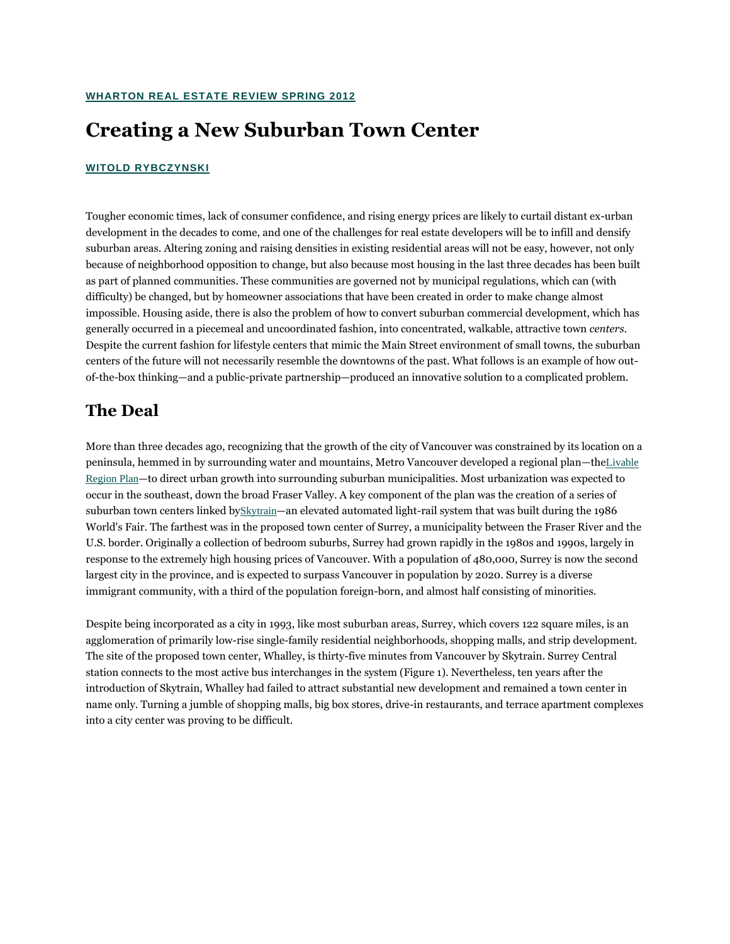## **Creating a New Suburban Town Center**

#### **[WITOLD RYBCZYNSKI](javascript:toggleBio(15);)**

Tougher economic times, lack of consumer confidence, and rising energy prices are likely to curtail distant ex-urban development in the decades to come, and one of the challenges for real estate developers will be to infill and densify suburban areas. Altering zoning and raising densities in existing residential areas will not be easy, however, not only because of neighborhood opposition to change, but also because most housing in the last three decades has been built as part of planned communities. These communities are governed not by municipal regulations, which can (with difficulty) be changed, but by homeowner associations that have been created in order to make change almost impossible. Housing aside, there is also the problem of how to convert suburban commercial development, which has generally occurred in a piecemeal and uncoordinated fashion, into concentrated, walkable, attractive town *centers*. Despite the current fashion for lifestyle centers that mimic the Main Street environment of small towns, the suburban centers of the future will not necessarily resemble the downtowns of the past. What follows is an example of how outof-the-box thinking—and a public-private partnership—produced an innovative solution to a complicated problem.

### **The Deal**

More than three decades ago, recognizing that the growth of the city of Vancouver was constrained by its location on a peninsula, hemmed in by surrounding water and mountains, Metro Vancouver developed a regional plan—the[Livable](http://www.gvrd.com/liveable_region_plan/index.html)  [Region Plan](http://www.gvrd.com/liveable_region_plan/index.html)—to direct urban growth into surrounding suburban municipalities. Most urbanization was expected to occur in the southeast, down the broad Fraser Valley. A key component of the plan was the creation of a series of suburban town centers linked by[Skytrain](http://en.wikipedia.org/wiki/SkyTrain_%28Vancouver%29)—an elevated automated light-rail system that was built during the 1986 World's Fair. The farthest was in the proposed town center of Surrey, a municipality between the Fraser River and the U.S. border. Originally a collection of bedroom suburbs, Surrey had grown rapidly in the 1980s and 1990s, largely in response to the extremely high housing prices of Vancouver. With a population of 480,000, Surrey is now the second largest city in the province, and is expected to surpass Vancouver in population by 2020. Surrey is a diverse immigrant community, with a third of the population foreign-born, and almost half consisting of minorities.

Despite being incorporated as a city in 1993, like most suburban areas, Surrey, which covers 122 square miles, is an agglomeration of primarily low-rise single-family residential neighborhoods, shopping malls, and strip development. The site of the proposed town center, Whalley, is thirty-five minutes from Vancouver by Skytrain. Surrey Central station connects to the most active bus interchanges in the system (Figure 1). Nevertheless, ten years after the introduction of Skytrain, Whalley had failed to attract substantial new development and remained a town center in name only. Turning a jumble of shopping malls, big box stores, drive-in restaurants, and terrace apartment complexes into a city center was proving to be difficult.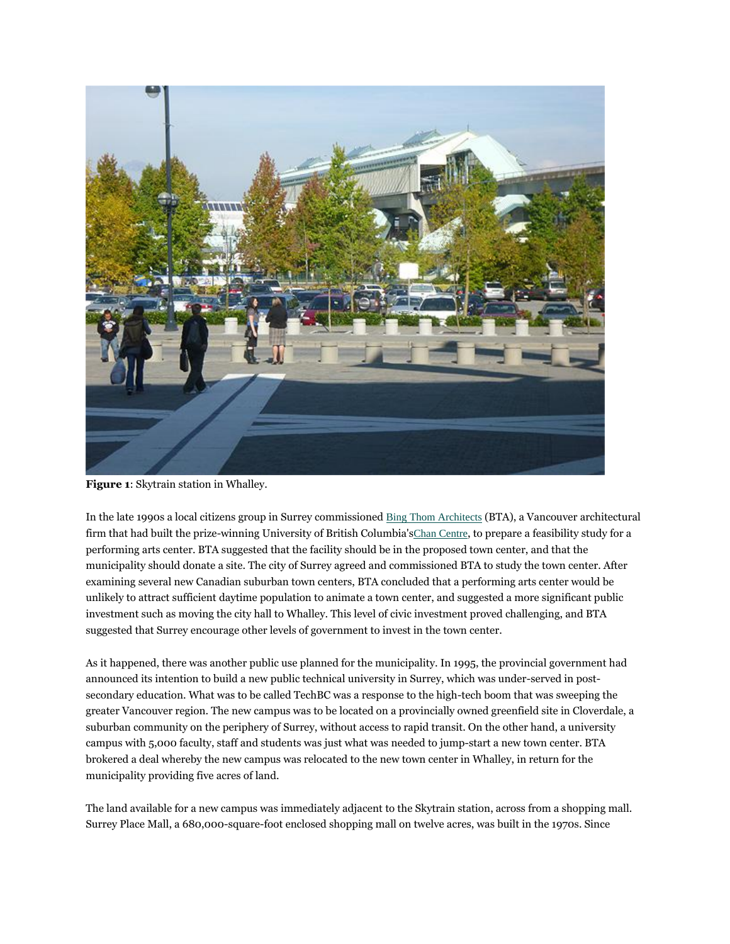

**Figure 1**: Skytrain station in Whalley.

In the late 1990s a local citizens group in Surrey commissioned [Bing Thom Architects](http://www.bingthomarchitects.com/) (BTA), a Vancouver architectural firm that had built the prize-winning University of British Columbia's[Chan Centre](http://en.wikipedia.org/wiki/Chan_Centre_for_the_Performing_Arts), to prepare a feasibility study for a performing arts center. BTA suggested that the facility should be in the proposed town center, and that the municipality should donate a site. The city of Surrey agreed and commissioned BTA to study the town center. After examining several new Canadian suburban town centers, BTA concluded that a performing arts center would be unlikely to attract sufficient daytime population to animate a town center, and suggested a more significant public investment such as moving the city hall to Whalley. This level of civic investment proved challenging, and BTA suggested that Surrey encourage other levels of government to invest in the town center.

As it happened, there was another public use planned for the municipality. In 1995, the provincial government had announced its intention to build a new public technical university in Surrey, which was under-served in postsecondary education. What was to be called TechBC was a response to the high-tech boom that was sweeping the greater Vancouver region. The new campus was to be located on a provincially owned greenfield site in Cloverdale, a suburban community on the periphery of Surrey, without access to rapid transit. On the other hand, a university campus with 5,000 faculty, staff and students was just what was needed to jump-start a new town center. BTA brokered a deal whereby the new campus was relocated to the new town center in Whalley, in return for the municipality providing five acres of land.

The land available for a new campus was immediately adjacent to the Skytrain station, across from a shopping mall. Surrey Place Mall, a 680,000-square-foot enclosed shopping mall on twelve acres, was built in the 1970s. Since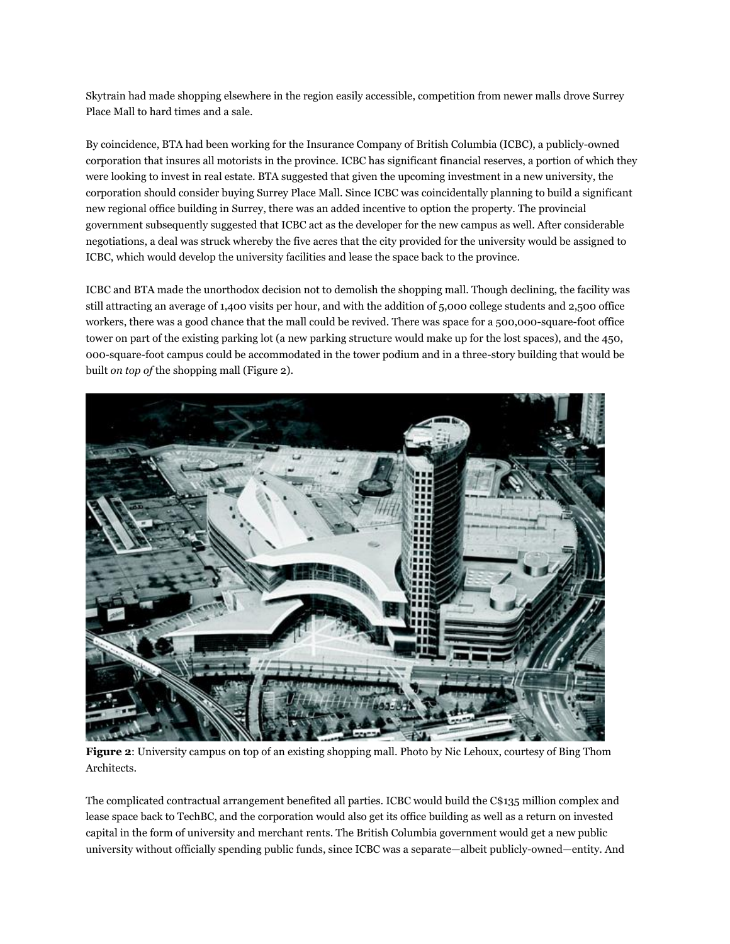Skytrain had made shopping elsewhere in the region easily accessible, competition from newer malls drove Surrey Place Mall to hard times and a sale.

By coincidence, BTA had been working for the Insurance Company of British Columbia (ICBC), a publicly-owned corporation that insures all motorists in the province. ICBC has significant financial reserves, a portion of which they were looking to invest in real estate. BTA suggested that given the upcoming investment in a new university, the corporation should consider buying Surrey Place Mall. Since ICBC was coincidentally planning to build a significant new regional office building in Surrey, there was an added incentive to option the property. The provincial government subsequently suggested that ICBC act as the developer for the new campus as well. After considerable negotiations, a deal was struck whereby the five acres that the city provided for the university would be assigned to ICBC, which would develop the university facilities and lease the space back to the province.

ICBC and BTA made the unorthodox decision not to demolish the shopping mall. Though declining, the facility was still attracting an average of 1,400 visits per hour, and with the addition of 5,000 college students and 2,500 office workers, there was a good chance that the mall could be revived. There was space for a 500,000-square-foot office tower on part of the existing parking lot (a new parking structure would make up for the lost spaces), and the 450, 000-square-foot campus could be accommodated in the tower podium and in a three-story building that would be built *on top of* the shopping mall (Figure 2).



**Figure 2**: University campus on top of an existing shopping mall. Photo by Nic Lehoux, courtesy of Bing Thom Architects.

The complicated contractual arrangement benefited all parties. ICBC would build the C\$135 million complex and lease space back to TechBC, and the corporation would also get its office building as well as a return on invested capital in the form of university and merchant rents. The British Columbia government would get a new public university without officially spending public funds, since ICBC was a separate—albeit publicly-owned—entity. And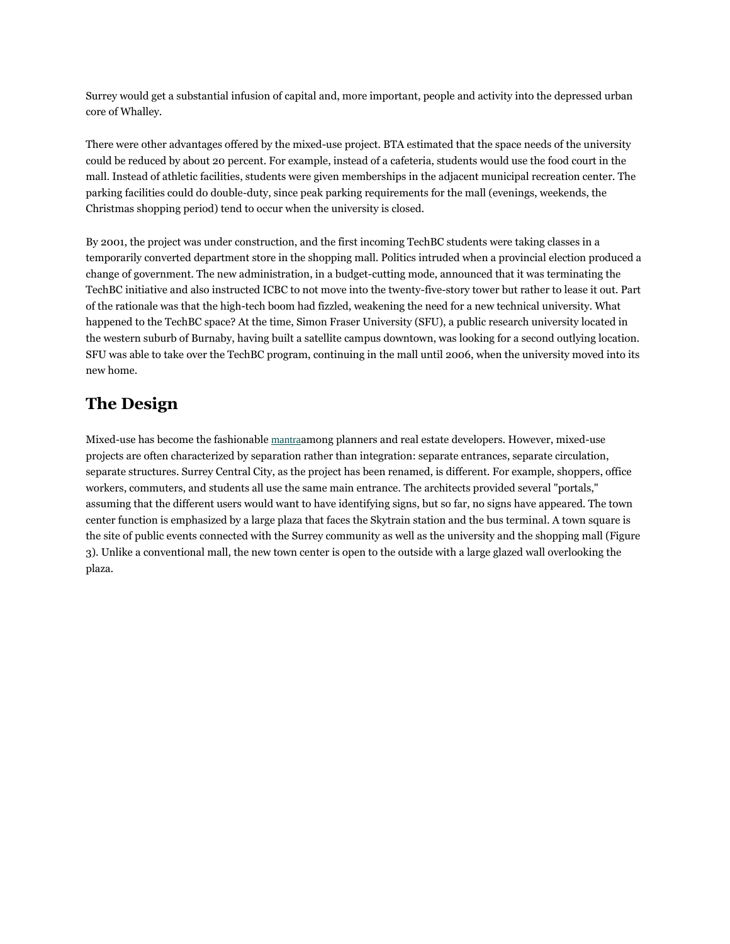Surrey would get a substantial infusion of capital and, more important, people and activity into the depressed urban core of Whalley.

There were other advantages offered by the mixed-use project. BTA estimated that the space needs of the university could be reduced by about 20 percent. For example, instead of a cafeteria, students would use the food court in the mall. Instead of athletic facilities, students were given memberships in the adjacent municipal recreation center. The parking facilities could do double-duty, since peak parking requirements for the mall (evenings, weekends, the Christmas shopping period) tend to occur when the university is closed.

By 2001, the project was under construction, and the first incoming TechBC students were taking classes in a temporarily converted department store in the shopping mall. Politics intruded when a provincial election produced a change of government. The new administration, in a budget-cutting mode, announced that it was terminating the TechBC initiative and also instructed ICBC to not move into the twenty-five-story tower but rather to lease it out. Part of the rationale was that the high-tech boom had fizzled, weakening the need for a new technical university. What happened to the TechBC space? At the time, Simon Fraser University (SFU), a public research university located in the western suburb of Burnaby, having built a satellite campus downtown, was looking for a second outlying location. SFU was able to take over the TechBC program, continuing in the mall until 2006, when the university moved into its new home.

### **The Design**

Mixed-use has become the fashionable [mantra](http://www.uli.org/sitecore/content/ULI2Home/Books/Books/Mixed%20Use.aspx)among planners and real estate developers. However, mixed-use projects are often characterized by separation rather than integration: separate entrances, separate circulation, separate structures. Surrey Central City, as the project has been renamed, is different. For example, shoppers, office workers, commuters, and students all use the same main entrance. The architects provided several "portals," assuming that the different users would want to have identifying signs, but so far, no signs have appeared. The town center function is emphasized by a large plaza that faces the Skytrain station and the bus terminal. A town square is the site of public events connected with the Surrey community as well as the university and the shopping mall (Figure 3). Unlike a conventional mall, the new town center is open to the outside with a large glazed wall overlooking the plaza.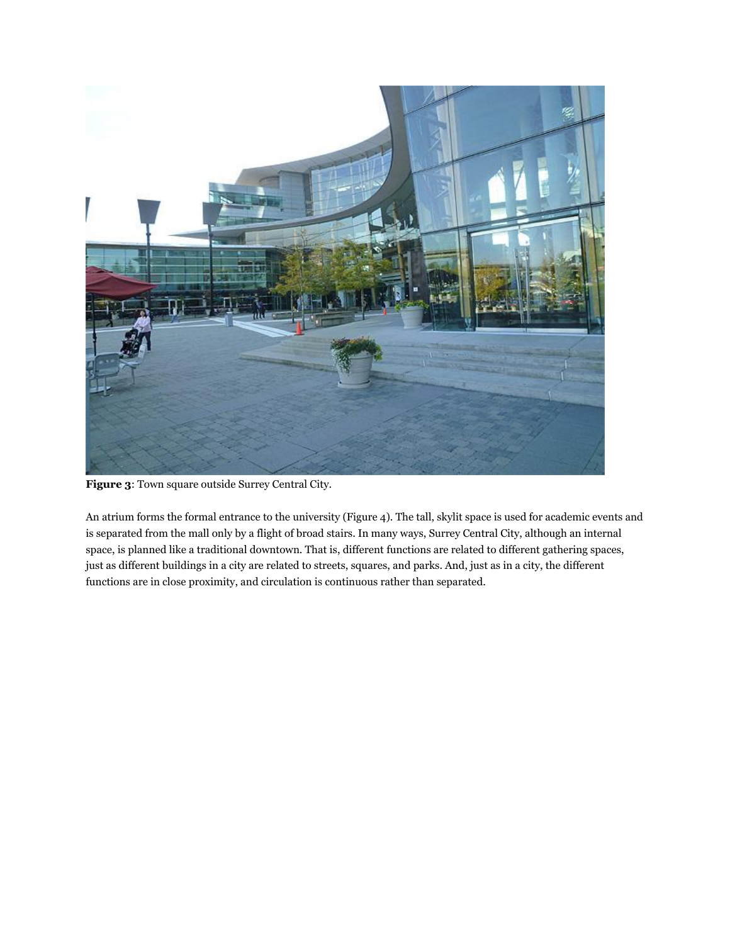

**Figure 3**: Town square outside Surrey Central City.

An atrium forms the formal entrance to the university (Figure 4). The tall, skylit space is used for academic events and is separated from the mall only by a flight of broad stairs. In many ways, Surrey Central City, although an internal space, is planned like a traditional downtown. That is, different functions are related to different gathering spaces, just as different buildings in a city are related to streets, squares, and parks. And, just as in a city, the different functions are in close proximity, and circulation is continuous rather than separated.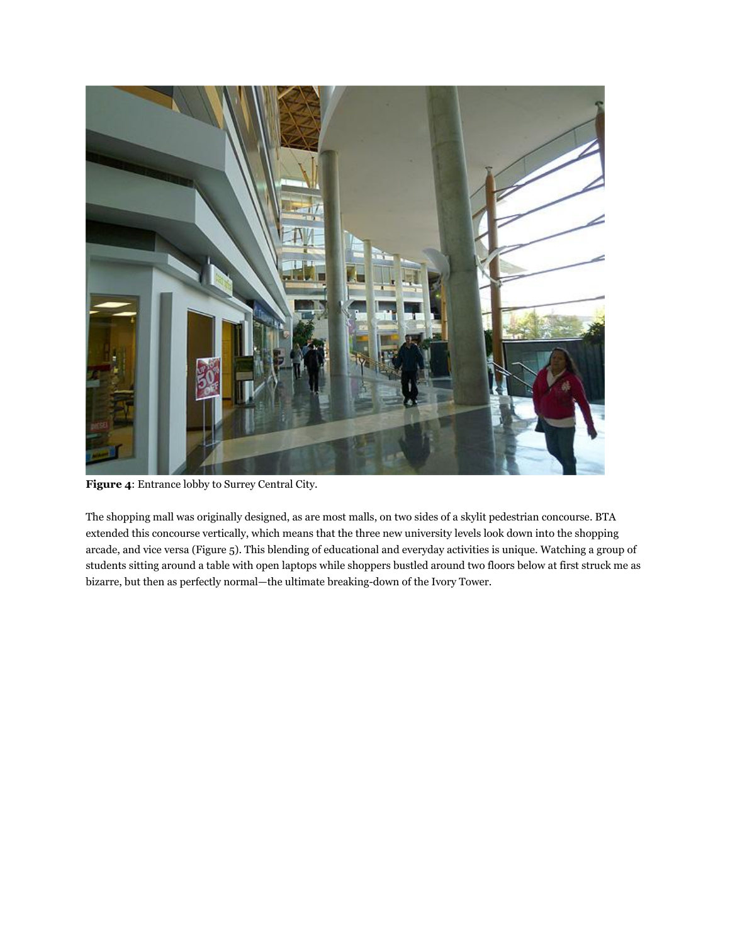

**Figure 4**: Entrance lobby to Surrey Central City.

The shopping mall was originally designed, as are most malls, on two sides of a skylit pedestrian concourse. BTA extended this concourse vertically, which means that the three new university levels look down into the shopping arcade, and vice versa (Figure 5). This blending of educational and everyday activities is unique. Watching a group of students sitting around a table with open laptops while shoppers bustled around two floors below at first struck me as bizarre, but then as perfectly normal—the ultimate breaking-down of the Ivory Tower.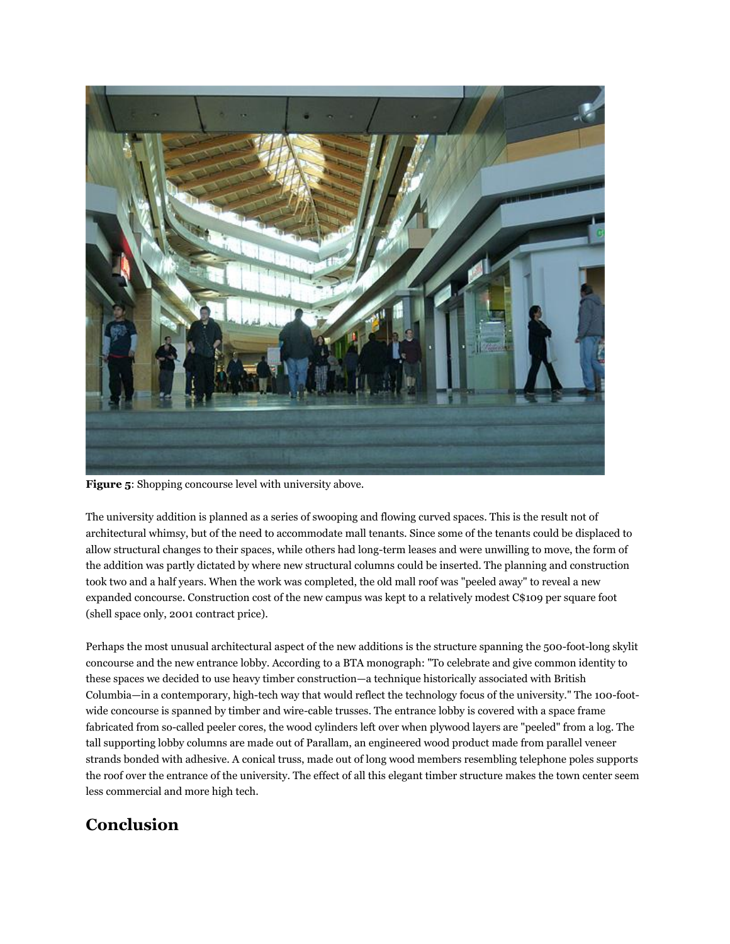

**Figure 5**: Shopping concourse level with university above.

The university addition is planned as a series of swooping and flowing curved spaces. This is the result not of architectural whimsy, but of the need to accommodate mall tenants. Since some of the tenants could be displaced to allow structural changes to their spaces, while others had long-term leases and were unwilling to move, the form of the addition was partly dictated by where new structural columns could be inserted. The planning and construction took two and a half years. When the work was completed, the old mall roof was "peeled away" to reveal a new expanded concourse. Construction cost of the new campus was kept to a relatively modest C\$109 per square foot (shell space only, 2001 contract price).

Perhaps the most unusual architectural aspect of the new additions is the structure spanning the 500-foot-long skylit concourse and the new entrance lobby. According to a BTA monograph: "To celebrate and give common identity to these spaces we decided to use heavy timber construction—a technique historically associated with British Columbia—in a contemporary, high-tech way that would reflect the technology focus of the university." The 100-footwide concourse is spanned by timber and wire-cable trusses. The entrance lobby is covered with a space frame fabricated from so-called peeler cores, the wood cylinders left over when plywood layers are "peeled" from a log. The tall supporting lobby columns are made out of Parallam, an engineered wood product made from parallel veneer strands bonded with adhesive. A conical truss, made out of long wood members resembling telephone poles supports the roof over the entrance of the university. The effect of all this elegant timber structure makes the town center seem less commercial and more high tech.

# **Conclusion**